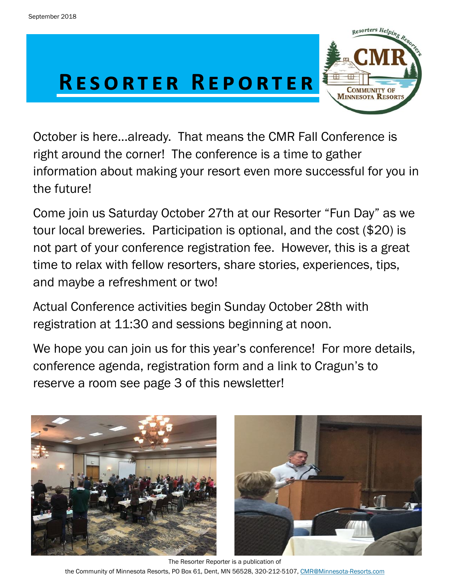# R E SORTER REPORTER



October is here...already. That means the CMR Fall Conference is a time to determine the corner. right around the corner! The conference is a time to gather information about making your resort even more successful for you in the future!

Come join us Saturday October 27th at our Resorter "Fun Day" as we tour local breweries. Participation is optional, and the cost (\$20) is not part of your conference registration fee. However, this is a great time to relax with fellow resorters, share stories, experiences, tips, and maybe a refreshment or two!

Actual Conference activities begin Sunday October 28th with registration at 11:30 and sessions beginning at noon.

We hope you can join us for this year's conference! For more details, conference agenda, registration form and a link to Cragun's to reserve a room see page 3 of this newsletter!



The Resorter Reporter is a publication of the Community of Minnesota Resorts, PO Box 61, Dent, MN 56528, 320-212-5107, [CMR@Minnesota-Resorts.com](mailto:CMR@Minnesota-Resorts.com?subject=Community%20of%20Minnesota%20Resorts)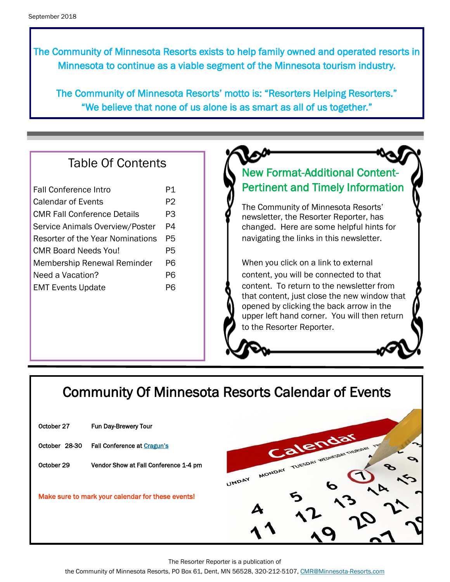The Community of Minnesota Resorts exists to help family owned and operated resorts in Minnesota to continue as a viable segment of the Minnesota tourism industry.

The Community of Minnesota Resorts' motto is: "Resorters Helping Resorters." "We believe that none of us alone is as smart as all of us together."

#### Table Of Contents

| <b>Fall Conference Intro</b>       | P1 |
|------------------------------------|----|
| Calendar of Events                 | P2 |
| <b>CMR Fall Conference Details</b> | PЗ |
| Service Animals Overview/Poster    | P4 |
| Resorter of the Year Nominations   | Р5 |
| CMR Board Needs You!               | P5 |
| <b>Membership Renewal Reminder</b> | Р6 |
| Need a Vacation?                   | Р6 |
| <b>EMT Events Update</b>           | PR |
|                                    |    |

### New Format-Additional Content-Pertinent and Timely Information

The Community of Minnesota Resorts' newsletter, the Resorter Reporter, has changed. Here are some helpful hints for navigating the links in this newsletter.

When you click on a link to external content, you will be connected to that content. To return to the newsletter from that content, just close the new window that opened by clicking the back arrow in the upper left hand corner. You will then return to the Resorter Reporter.

## Community Of Minnesota Resorts Calendar of Events

| October 27    | Fun Day-Brewery Tour                              |                                                |
|---------------|---------------------------------------------------|------------------------------------------------|
| October 28-30 | Fall Conference at Cragun's                       | Calendar                                       |
| October 29    | Vendor Show at Fall Conference 1-4 pm             | MONDAY TUESDAY WEDNESDAY THURSDAY TOP<br>UNDAY |
|               | Make sure to mark your calendar for these events! |                                                |
|               |                                                   |                                                |

The Resorter Reporter is a publication of

the Community of Minnesota Resorts, PO Box 61, Dent, MN 56528, 320-212-5107, [CMR@Minnesota-Resorts.com](mailto:CMR@Minnesota-Resorts.com?subject=Community%20of%20Minnesota%20Resorts)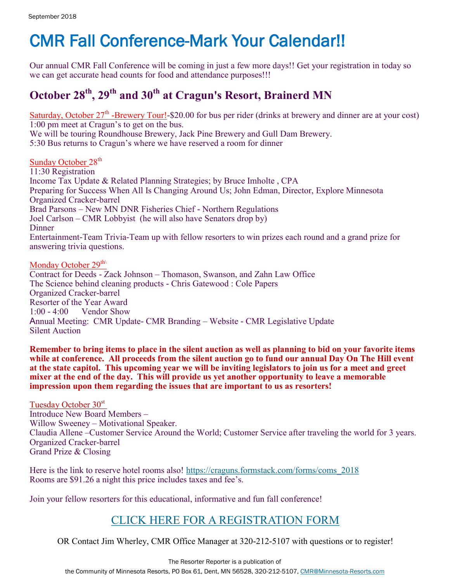# CMR Fall Conference-Mark Your Calendar!!

Our annual CMR Fall Conference will be coming in just a few more days!! Get your registration in today so we can get accurate head counts for food and attendance purposes!!!

### **October 28th, 29th and 30th at Cragun's Resort, Brainerd MN**

Saturday, October 27<sup>th</sup> -Brewery Tour!-\$20.00 for bus per rider (drinks at brewery and dinner are at your cost) 1:00 pm meet at Cragun's to get on the bus.

We will be touring Roundhouse Brewery, Jack Pine Brewery and Gull Dam Brewery. 5:30 Bus returns to Cragun's where we have reserved a room for dinner

Sunday October 28<sup>th</sup> 11:30 Registration Income Tax Update & Related Planning Strategies; by Bruce Imholte , CPA Preparing for Success When All Is Changing Around Us; John Edman, Director, Explore Minnesota Organized Cracker-barrel Brad Parsons – New MN DNR Fisheries Chief - Northern Regulations Joel Carlson – CMR Lobbyist (he will also have Senators drop by) **Dinner** Entertainment-Team Trivia-Team up with fellow resorters to win prizes each round and a grand prize for answering trivia questions.

Monday October 29<sup>th\</sup>

Contract for Deeds - Zack Johnson – Thomason, Swanson, and Zahn Law Office The Science behind cleaning products - Chris Gatewood : Cole Papers Organized Cracker-barrel Resorter of the Year Award 1:00 - 4:00 Vendor Show Annual Meeting: CMR Update- CMR Branding – Website - CMR Legislative Update Silent Auction

**Remember to bring items to place in the silent auction as well as planning to bid on your favorite items while at conference. All proceeds from the silent auction go to fund our annual Day On The Hill event at the state capitol. This upcoming year we will be inviting legislators to join us for a meet and greet mixer at the end of the day. This will provide us yet another opportunity to leave a memorable impression upon them regarding the issues that are important to us as resorters!**

Tuesday October 30<sup>st</sup> Introduce New Board Members – Willow Sweeney – Motivational Speaker. Claudia Allene –Customer Service Around the World; Customer Service after traveling the world for 3 years. Organized Cracker-barrel Grand Prize & Closing

Here is the link to reserve hotel rooms also! [https://craguns.formstack.com/forms/coms\\_2018](https://craguns.formstack.com/forms/coms_2018)  Rooms are \$91.26 a night this price includes taxes and fee's.

Join your fellow resorters for this educational, informative and fun fall conference!

#### [CLICK HERE FOR A REGISTRATION FORM](http://minnesota-resorts.com/wp-lib/wp-content/uploads/2018/09/2018-CMR-Fall-Conference-brochure.pdf)

OR Contact Jim Wherley, CMR Office Manager at 320-212-5107 with questions or to register!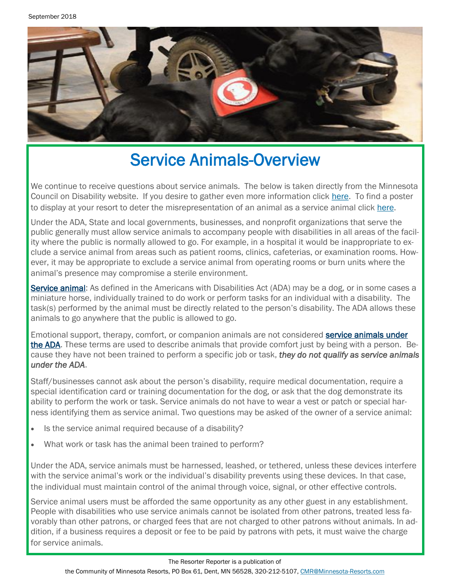

# Service Animals-Overview

We continue to receive questions about service animals. The below is taken directly from the Minnesota Council on Disability website. If you desire to gather even more information click [here.](https://www.disability.state.mn.us/information-and-assistance/service-animals/) To find a poster to display at your resort to deter the misrepresentation of an animal as a service animal click [here.](https://www.disability.state.mn.us/wp-content/uploads/2018/08/LW_Service-Animals-Flyer.pdf)

Under the ADA, State and local governments, businesses, and nonprofit organizations that serve the public generally must allow service animals to accompany people with disabilities in all areas of the facility where the public is normally allowed to go. For example, in a hospital it would be inappropriate to exclude a service animal from areas such as patient rooms, clinics, cafeterias, or examination rooms. However, it may be appropriate to exclude a service animal from operating rooms or burn units where the animal's presence may compromise a sterile environment.

[Service animal:](https://www.ada.gov/regs2010/service_animal_qa.html) As defined in the Americans with Disabilities Act (ADA) may be a dog, or in some cases a miniature horse, individually trained to do work or perform tasks for an individual with a disability. The task(s) performed by the animal must be directly related to the person's disability. The ADA allows these animals to go anywhere that the public is allowed to go.

Emotional support, therapy, comfort, or companion animals are not considered **service animals under** [the ADA.](https://www.ada.gov/regs2010/service_animal_qa.html) These terms are used to describe animals that provide comfort just by being with a person. Because they have not been trained to perform a specific job or task, *they do not qualify as service animals under the ADA*.

Staff/businesses cannot ask about the person's disability, require medical documentation, require a special identification card or training documentation for the dog, or ask that the dog demonstrate its ability to perform the work or task. Service animals do not have to wear a vest or patch or special harness identifying them as service animal. Two questions may be asked of the owner of a service animal:

- Is the service animal required because of a disability?
- What work or task has the animal been trained to perform?

Under the ADA, service animals must be harnessed, leashed, or tethered, unless these devices interfere with the service animal's work or the individual's disability prevents using these devices. In that case, the individual must maintain control of the animal through voice, signal, or other effective controls.

Service animal users must be afforded the same opportunity as any other guest in any establishment. People with disabilities who use service animals cannot be isolated from other patrons, treated less favorably than other patrons, or charged fees that are not charged to other patrons without animals. In addition, if a business requires a deposit or fee to be paid by patrons with pets, it must waive the charge for service animals.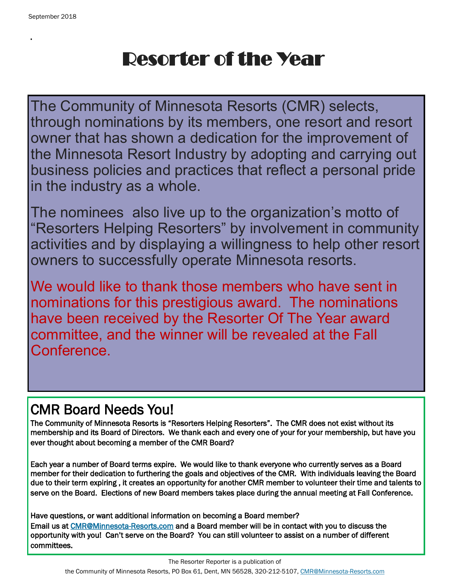.

# Resorter of the Year

The Community of Minnesota Resorts (CMR) selects, through nominations by its members, one resort and resort owner that has shown a dedication for the improvement of the Minnesota Resort Industry by adopting and carrying out business policies and practices that reflect a personal pride in the industry as a whole.

The nominees also live up to the organization's motto of "Resorters Helping Resorters" by involvement in community activities and by displaying a willingness to help other resort owners to successfully operate Minnesota resorts.

We would like to thank those members who have sent in nominations for this prestigious award. The nominations have been received by the Resorter Of The Year award committee, and the winner will be revealed at the Fall Conference.

## CMR Board Needs You!

The Community of Minnesota Resorts is "Resorters Helping Resorters". The CMR does not exist without its membership and its Board of Directors. We thank each and every one of your for your membership, but have you ever thought about becoming a member of the CMR Board?

Each year a number of Board terms expire. We would like to thank everyone who currently serves as a Board member for their dedication to furthering the goals and objectives of the CMR. With individuals leaving the Board due to their term expiring , it creates an opportunity for another CMR member to volunteer their time and talents to serve on the Board. Elections of new Board members takes place during the annual meeting at Fall Conference.

Have questions, or want additional information on becoming a Board member? Email us at [CMR@Minnesota-Resorts.com a](mailto:CMR@Minnesota-Resorts.com?subject=Board%20of%20Directors)nd a Board member will be in contact with you to discuss the opportunity with you! Can't serve on the Board? You can still volunteer to assist on a number of different committees.